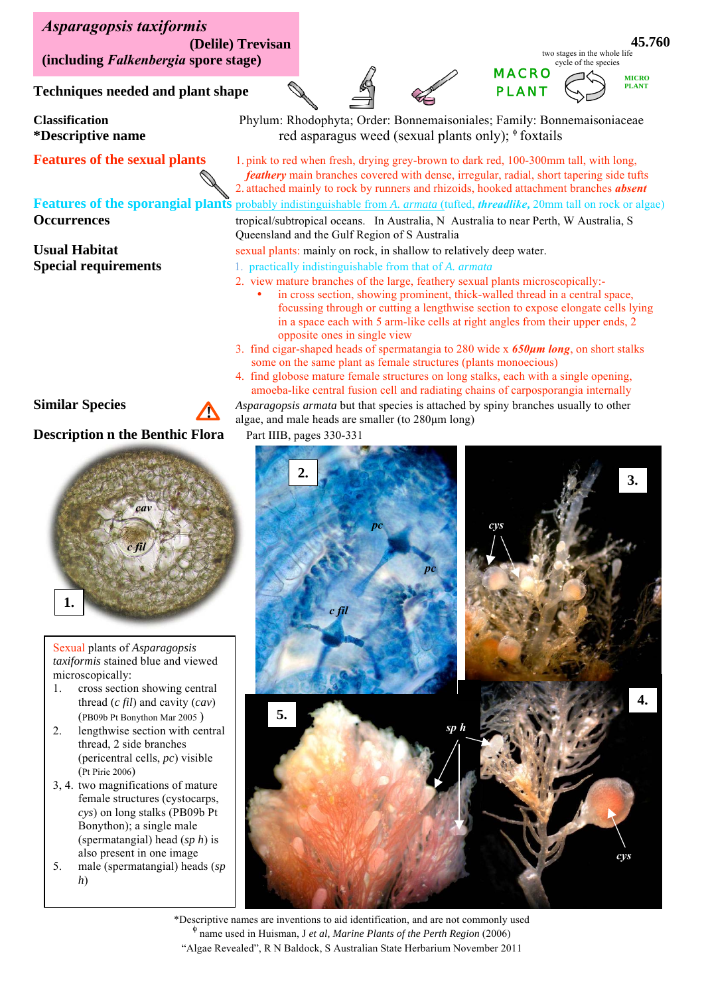*Asparagopsis taxiformis*  **(Delile) Trevisan (including** *Falkenbergia* **spore stage)** 

**Techniques needed and plant shape** 

# *c fil cav* **1.**

**!** 

**2.** *taxiformis* stained blue and viewed Sexual plants of *Asparagopsis*  microscopically:

- 1. cross section showing central thread (*c fil*) and cavity (*cav*) (PB09b Pt Bonython Mar 2005 )
- 2. lengthwise section with central thread, 2 side branches (pericentral cells, *pc*) visible (Pt Pirie 2006)
- 3, 4. two magnifications of mature female structures (cystocarps, *cys*) on long stalks (PB09b Pt Bonython); a single male (spermatangial) head (*sp h*) is also present in one image
- 5. male (spermatangial) heads (*sp h*)

algae, and male heads are smaller (to 280μm long) **Description n the Benthic Flora** Part IIIB, pages 330-331

**Similar Species** *A Asparagopsis armata* but that species is attached by spiny branches usually to other



\*Descriptive names are inventions to aid identification, and are not commonly used name used in Huisman, J *et al, Marine Plants of the Perth Region* (2006) "Algae Revealed", R N Baldock, S Australian State Herbarium November 2011

**Classification** Phylum: Rhodophyta; Order: Bonnemaisoniales; Family: Bonnemaisoniaceae **\*Descriptive name** red asparagus weed (sexual plants only); foxtails

**Features of the sexual plants** 1. pink to red when fresh, drying grey-brown to dark red, 100-300mm tall, with long, *feathery* main branches covered with dense, irregular, radial, short tapering side tufts 2. attached mainly to rock by runners and rhizoids, hooked attachment branches *absent*  **Features of the sporangial plants** probably indistinguishable from *A. armata* (tufted, *threadlike***,** 20mm tall on rock or algae) **Occurrences** tropical/subtropical oceans. In Australia, N Australia to near Perth, W Australia, S Queensland and the Gulf Region of S Australia

### **Usual Habitat** sexual plants: mainly on rock, in shallow to relatively deep water.

- **Special requirements** 1. practically indistinguishable from that of *A. armata* 
	- 2. view mature branches of the large, feathery sexual plants microscopically: in cross section, showing prominent, thick-walled thread in a central space, focussing through or cutting a lengthwise section to expose elongate cells lying
	- 3. find cigar-shaped heads of spermatangia to 280 wide x *650μm long*, on short stalks
	- 4. find globose mature female structures on long stalks, each with a single opening,

amoeba-like central fusion cell and radiating chains of carposporangia internally

some on the same plant as female structures (plants monoecious)

in a space each with 5 arm-like cells at right angles from their upper ends, 2 opposite ones in single view

MACRO PLANT two stages in the whole life cycle of the species